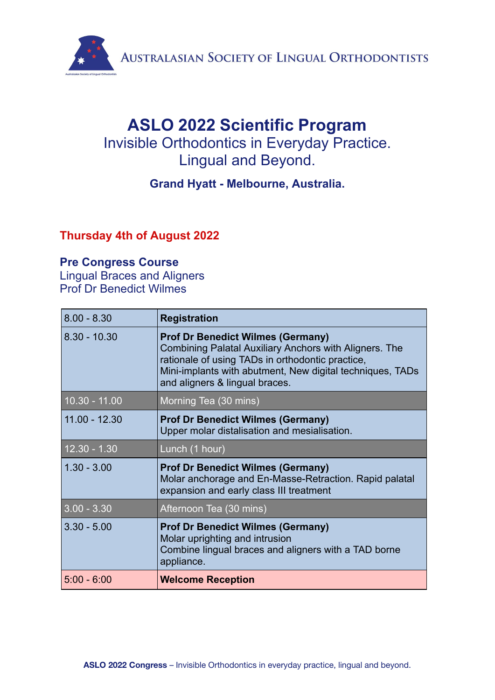

# **ASLO 2022 Scientific Program** Invisible Orthodontics in Everyday Practice. Lingual and Beyond.

### **Grand Hyatt - Melbourne, Australia.**

### **Thursday 4th of August 2022**

#### **Pre Congress Course**

Lingual Braces and Aligners Prof Dr Benedict Wilmes

| $8.00 - 8.30$                        | <b>Registration</b>                                                                                                                                                                                                                                   |
|--------------------------------------|-------------------------------------------------------------------------------------------------------------------------------------------------------------------------------------------------------------------------------------------------------|
| $8.30 - 10.30$                       | <b>Prof Dr Benedict Wilmes (Germany)</b><br>Combining Palatal Auxiliary Anchors with Aligners. The<br>rationale of using TADs in orthodontic practice,<br>Mini-implants with abutment, New digital techniques, TADs<br>and aligners & lingual braces. |
| $10.30 - 11.00$                      | Morning Tea (30 mins)                                                                                                                                                                                                                                 |
| $11.00 - 12.30$                      | <b>Prof Dr Benedict Wilmes (Germany)</b><br>Upper molar distalisation and mesialisation.                                                                                                                                                              |
| $12.\overline{30} - 1.\overline{30}$ | Lunch (1 hour)                                                                                                                                                                                                                                        |
| $1.30 - 3.00$                        | <b>Prof Dr Benedict Wilmes (Germany)</b><br>Molar anchorage and En-Masse-Retraction. Rapid palatal<br>expansion and early class III treatment                                                                                                         |
| $3.00 - 3.30$                        | Afternoon Tea (30 mins)                                                                                                                                                                                                                               |
| $3.30 - 5.00$                        | <b>Prof Dr Benedict Wilmes (Germany)</b><br>Molar uprighting and intrusion<br>Combine lingual braces and aligners with a TAD borne<br>appliance.                                                                                                      |
| $5:00 - 6:00$                        | <b>Welcome Reception</b>                                                                                                                                                                                                                              |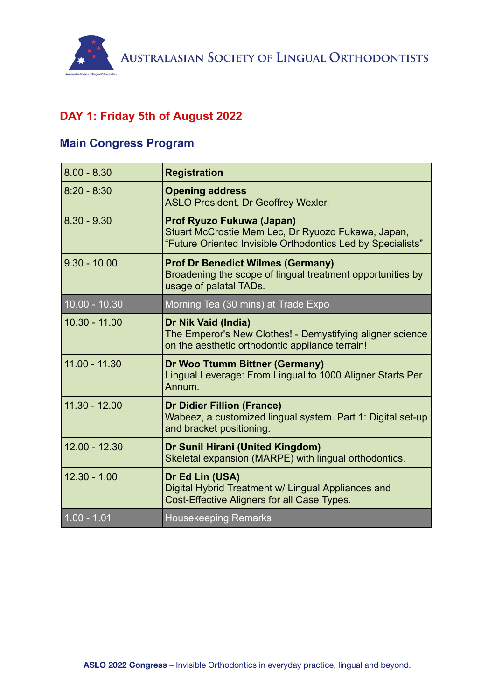

# **DAY 1: Friday 5th of August 2022**

#### **Main Congress Program**

| $8.00 - 8.30$   | <b>Registration</b>                                                                                                                            |
|-----------------|------------------------------------------------------------------------------------------------------------------------------------------------|
| $8:20 - 8:30$   | <b>Opening address</b><br><b>ASLO President, Dr Geoffrey Wexler.</b>                                                                           |
| $8.30 - 9.30$   | Prof Ryuzo Fukuwa (Japan)<br>Stuart McCrostie Mem Lec, Dr Ryuozo Fukawa, Japan,<br>"Future Oriented Invisible Orthodontics Led by Specialists" |
| $9.30 - 10.00$  | <b>Prof Dr Benedict Wilmes (Germany)</b><br>Broadening the scope of lingual treatment opportunities by<br>usage of palatal TADs.               |
| $10.00 - 10.30$ | Morning Tea (30 mins) at Trade Expo                                                                                                            |
| $10.30 - 11.00$ | Dr Nik Vaid (India)<br>The Emperor's New Clothes! - Demystifying aligner science<br>on the aesthetic orthodontic appliance terrain!            |
| $11.00 - 11.30$ | Dr Woo Ttumm Bittner (Germany)<br>Lingual Leverage: From Lingual to 1000 Aligner Starts Per<br>Annum.                                          |
| $11.30 - 12.00$ | <b>Dr Didier Fillion (France)</b><br>Wabeez, a customized lingual system. Part 1: Digital set-up<br>and bracket positioning.                   |
| $12.00 - 12.30$ | Dr Sunil Hirani (United Kingdom)<br>Skeletal expansion (MARPE) with lingual orthodontics.                                                      |
| $12.30 - 1.00$  | Dr Ed Lin (USA)<br>Digital Hybrid Treatment w/ Lingual Appliances and<br>Cost-Effective Aligners for all Case Types.                           |
| $1.00 - 1.01$   | <b>Housekeeping Remarks</b>                                                                                                                    |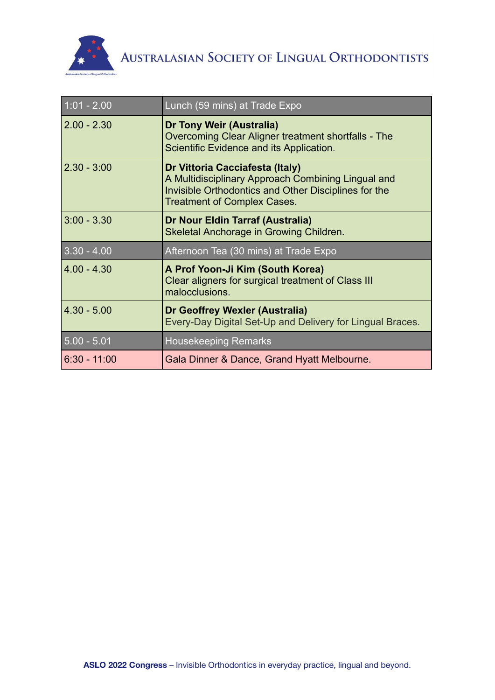

| $1:01 - 2.00$  | Lunch (59 mins) at Trade Expo                                                                                                                                                       |
|----------------|-------------------------------------------------------------------------------------------------------------------------------------------------------------------------------------|
| $2.00 - 2.30$  | Dr Tony Weir (Australia)<br>Overcoming Clear Aligner treatment shortfalls - The<br>Scientific Evidence and its Application.                                                         |
| $2.30 - 3:00$  | Dr Vittoria Cacciafesta (Italy)<br>A Multidisciplinary Approach Combining Lingual and<br>Invisible Orthodontics and Other Disciplines for the<br><b>Treatment of Complex Cases.</b> |
| $3:00 - 3.30$  | Dr Nour Eldin Tarraf (Australia)<br>Skeletal Anchorage in Growing Children.                                                                                                         |
| $3.30 - 4.00$  | Afternoon Tea (30 mins) at Trade Expo                                                                                                                                               |
| $4.00 - 4.30$  | A Prof Yoon-Ji Kim (South Korea)<br>Clear aligners for surgical treatment of Class III<br>malocclusions.                                                                            |
| $4.30 - 5.00$  | Dr Geoffrey Wexler (Australia)<br>Every-Day Digital Set-Up and Delivery for Lingual Braces.                                                                                         |
| $5.00 - 5.01$  | <b>Housekeeping Remarks</b>                                                                                                                                                         |
| $6:30 - 11:00$ | Gala Dinner & Dance, Grand Hyatt Melbourne.                                                                                                                                         |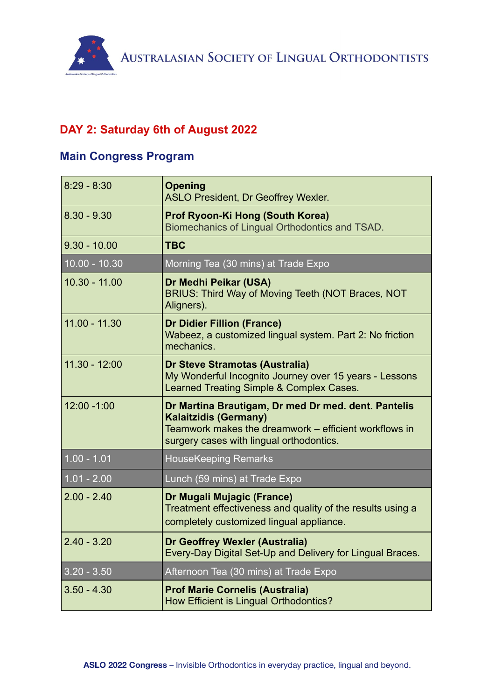## **DAY 2: Saturday 6th of August 2022**

## **Main Congress Program**

| $8:29 - 8:30$   | <b>Opening</b><br><b>ASLO President, Dr Geoffrey Wexler.</b>                                                                                                                             |
|-----------------|------------------------------------------------------------------------------------------------------------------------------------------------------------------------------------------|
| $8.30 - 9.30$   | Prof Ryoon-Ki Hong (South Korea)<br>Biomechanics of Lingual Orthodontics and TSAD.                                                                                                       |
| $9.30 - 10.00$  | <b>TBC</b>                                                                                                                                                                               |
| $10.00 - 10.30$ | Morning Tea (30 mins) at Trade Expo                                                                                                                                                      |
| $10.30 - 11.00$ | Dr Medhi Peikar (USA)<br>BRIUS: Third Way of Moving Teeth (NOT Braces, NOT<br>Aligners).                                                                                                 |
| $11.00 - 11.30$ | <b>Dr Didier Fillion (France)</b><br>Wabeez, a customized lingual system. Part 2: No friction<br>mechanics.                                                                              |
| $11.30 - 12:00$ | <b>Dr Steve Stramotas (Australia)</b><br>My Wonderful Incognito Journey over 15 years - Lessons<br>Learned Treating Simple & Complex Cases.                                              |
| 12:00 -1:00     | Dr Martina Brautigam, Dr med Dr med. dent. Pantelis<br><b>Kalaitzidis (Germany)</b><br>Teamwork makes the dreamwork – efficient workflows in<br>surgery cases with lingual orthodontics. |
| $1.00 - 1.01$   | <b>HouseKeeping Remarks</b>                                                                                                                                                              |
| $1.01 - 2.00$   | Lunch (59 mins) at Trade Expo                                                                                                                                                            |
| $2.00 - 2.40$   | Dr Mugali Mujagic (France)<br>Treatment effectiveness and quality of the results using a<br>completely customized lingual appliance.                                                     |
| $2.40 - 3.20$   | <b>Dr Geoffrey Wexler (Australia)</b><br>Every-Day Digital Set-Up and Delivery for Lingual Braces.                                                                                       |
| $3.20 - 3.50$   | Afternoon Tea (30 mins) at Trade Expo                                                                                                                                                    |
| $3.50 - 4.30$   | <b>Prof Marie Cornelis (Australia)</b><br>How Efficient is Lingual Orthodontics?                                                                                                         |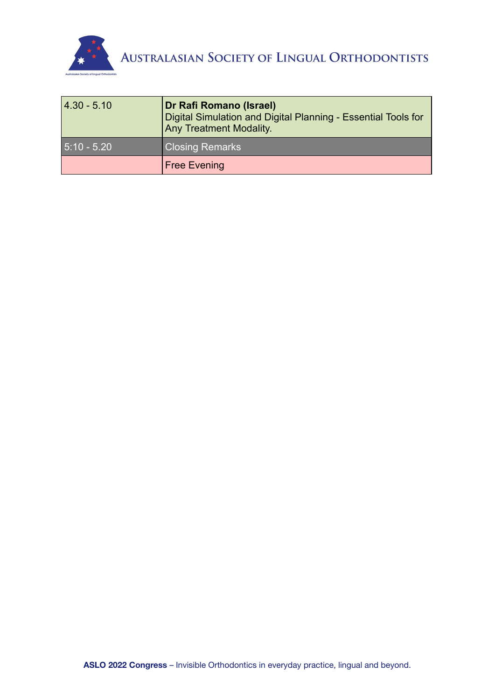

| 4.30 - 5.10   | Dr Rafi Romano (Israel)<br>Digital Simulation and Digital Planning - Essential Tools for<br><b>Any Treatment Modality.</b> |
|---------------|----------------------------------------------------------------------------------------------------------------------------|
| $5:10 - 5.20$ | <b>Closing Remarks</b>                                                                                                     |
|               | <b>Free Evening</b>                                                                                                        |